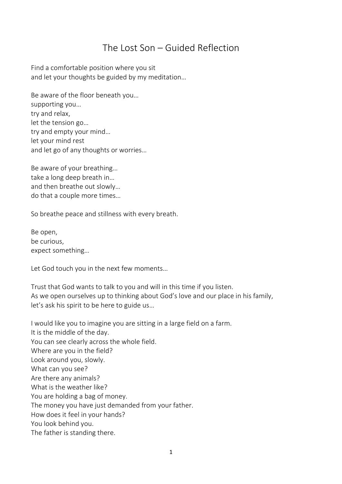## The Lost Son – Guided Reflection

Find a comfortable position where you sit and let your thoughts be guided by my meditation…

Be aware of the floor beneath you… supporting you… try and relax, let the tension go… try and empty your mind… let your mind rest and let go of any thoughts or worries…

Be aware of your breathing… take a long deep breath in… and then breathe out slowly… do that a couple more times…

So breathe peace and stillness with every breath.

Be open, be curious, expect something…

Let God touch you in the next few moments…

Trust that God wants to talk to you and will in this time if you listen. As we open ourselves up to thinking about God's love and our place in his family, let's ask his spirit to be here to guide us…

I would like you to imagine you are sitting in a large field on a farm. It is the middle of the day. You can see clearly across the whole field. Where are you in the field? Look around you, slowly. What can you see? Are there any animals? What is the weather like? You are holding a bag of money. The money you have just demanded from your father. How does it feel in your hands? You look behind you. The father is standing there.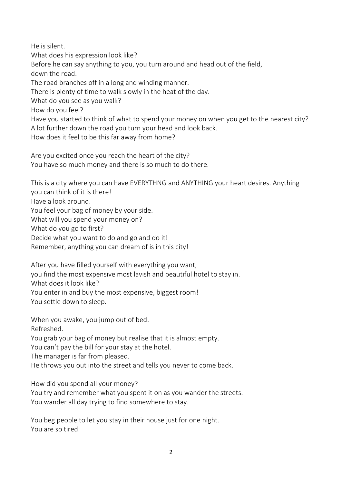He is silent. What does his expression look like? Before he can say anything to you, you turn around and head out of the field, down the road. The road branches off in a long and winding manner. There is plenty of time to walk slowly in the heat of the day. What do you see as you walk? How do you feel? Have you started to think of what to spend your money on when you get to the nearest city? A lot further down the road you turn your head and look back. How does it feel to be this far away from home?

Are you excited once you reach the heart of the city? You have so much money and there is so much to do there.

This is a city where you can have EVERYTHNG and ANYTHING your heart desires. Anything you can think of it is there! Have a look around. You feel your bag of money by your side. What will you spend your money on? What do you go to first? Decide what you want to do and go and do it! Remember, anything you can dream of is in this city!

After you have filled yourself with everything you want, you find the most expensive most lavish and beautiful hotel to stay in. What does it look like? You enter in and buy the most expensive, biggest room! You settle down to sleep.

When you awake, you jump out of bed. Refreshed. You grab your bag of money but realise that it is almost empty. You can't pay the bill for your stay at the hotel. The manager is far from pleased. He throws you out into the street and tells you never to come back.

How did you spend all your money?

You try and remember what you spent it on as you wander the streets. You wander all day trying to find somewhere to stay.

You beg people to let you stay in their house just for one night. You are so tired.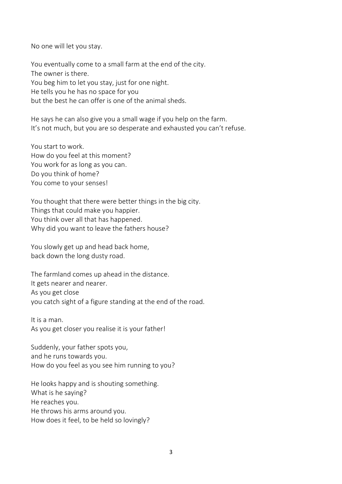No one will let you stay.

You eventually come to a small farm at the end of the city. The owner is there. You beg him to let you stay, just for one night. He tells you he has no space for you but the best he can offer is one of the animal sheds.

He says he can also give you a small wage if you help on the farm. It's not much, but you are so desperate and exhausted you can't refuse.

You start to work. How do you feel at this moment? You work for as long as you can. Do you think of home? You come to your senses!

You thought that there were better things in the big city. Things that could make you happier. You think over all that has happened. Why did you want to leave the fathers house?

You slowly get up and head back home, back down the long dusty road.

The farmland comes up ahead in the distance. It gets nearer and nearer. As you get close you catch sight of a figure standing at the end of the road.

It is a man. As you get closer you realise it is your father!

Suddenly, your father spots you, and he runs towards you. How do you feel as you see him running to you?

He looks happy and is shouting something. What is he saying? He reaches you. He throws his arms around you. How does it feel, to be held so lovingly?